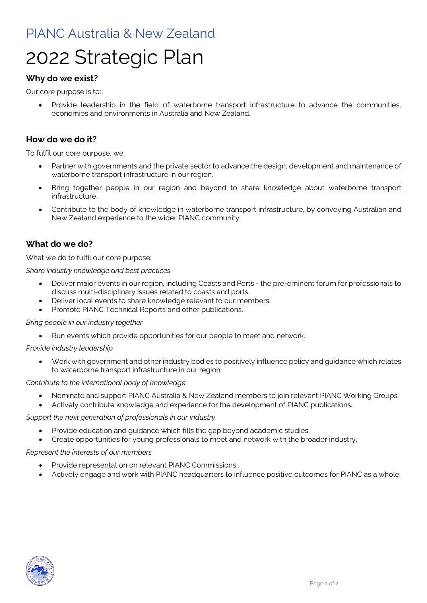# PIANC Australia & New Zealand

# 2022 Strategic Plan

# **Why do we exist?**

Our core purpose is to:

• Provide leadership in the field of waterborne transport infrastructure to advance the communities, economies and environments in Australia and New Zealand.

# **How do we do it?**

To fulfil our core purpose, we:

- Partner with governments and the private sector to advance the design, development and maintenance of waterborne transport infrastructure in our region.
- Bring together people in our region and beyond to share knowledge about waterborne transport infrastructure.
- Contribute to the body of knowledge in waterborne transport infrastructure, by conveying Australian and New Zealand experience to the wider PIANC community.

# **What do we do?**

What we do to fulfil our core purpose:

*Share industry knowledge and best practices*

- Deliver major events in our region, including Coasts and Ports the pre-eminent forum for professionals to discuss multi-disciplinary issues related to coasts and ports.
- Deliver local events to share knowledge relevant to our members.
- Promote PIANC Technical Reports and other publications.

#### *Bring people in our industry together*

• Run events which provide opportunities for our people to meet and network.

#### *Provide industry leadership*

• Work with government and other industry bodies to positively influence policy and guidance which relates to waterborne transport infrastructure in our region.

#### *Contribute to the international body of knowledge*

- Nominate and support PIANC Australia & New Zealand members to join relevant PIANC Working Groups.
- Actively contribute knowledge and experience for the development of PIANC publications.

#### *Support the next generation of professionals in our industry*

- Provide education and guidance which fills the gap beyond academic studies.
- Create opportunities for young professionals to meet and network with the broader industry.

#### *Represent the interests of our members*

- Provide representation on relevant PIANC Commissions.
- Actively engage and work with PIANC headquarters to influence positive outcomes for PIANC as a whole.